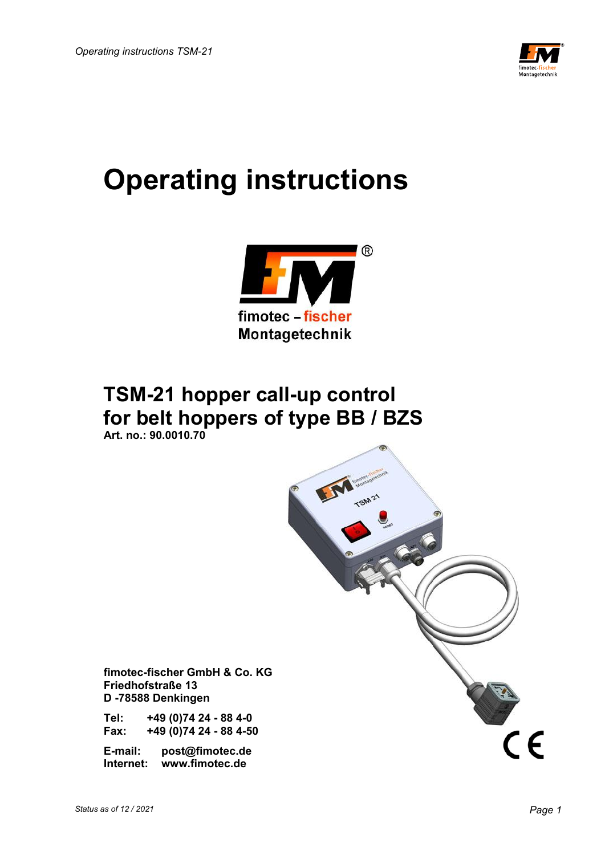

# **Operating instructions**



# **TSM-21 hopper call-up control for belt hoppers of type BB / BZS**

 **Art. no.: 90.0010.70** 



 **fimotec-fischer GmbH & Co. KG Friedhofstraße 13 D -78588 Denkingen** 

 **Tel: +49 (0)74 24 - 88 4-0 Fax: +49 (0)74 24 - 88 4-50** 

 **E-mail: post@fimotec.de Internet: www.fimotec.de**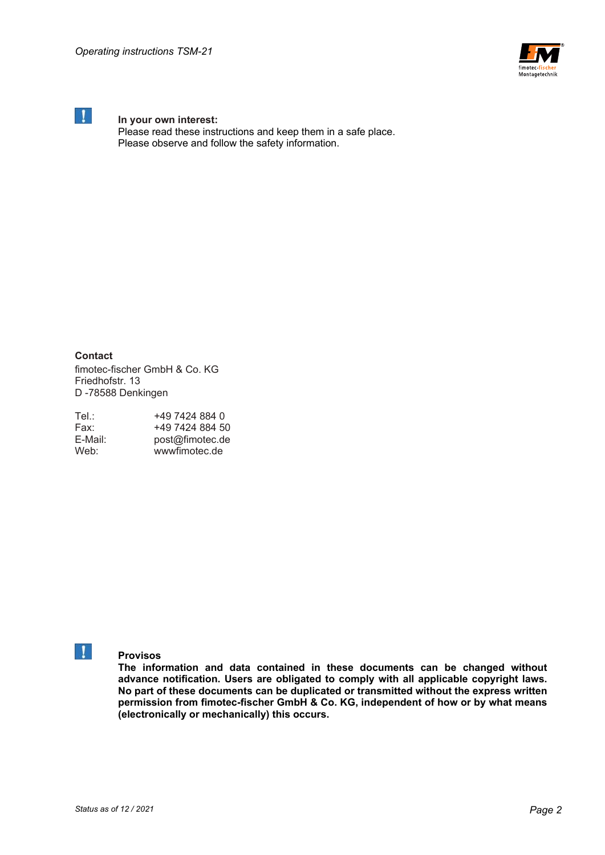

# **In your own interest:**

 Please read these instructions and keep them in a safe place. Please observe and follow the safety information.

**Contact** 

fimotec-fischer GmbH & Co. KG Friedhofstr. 13 D -78588 Denkingen

| Tel∴    | +49 7424 884 0  |
|---------|-----------------|
| Fax:    | +49 7424 884 50 |
| E-Mail: | post@fimotec.de |
| Web:    | wwwfimotec.de   |

# **Provisos**

**The information and data contained in these documents can be changed without advance notification. Users are obligated to comply with all applicable copyright laws. No part of these documents can be duplicated or transmitted without the express written permission from fimotec-fischer GmbH & Co. KG, independent of how or by what means (electronically or mechanically) this occurs.**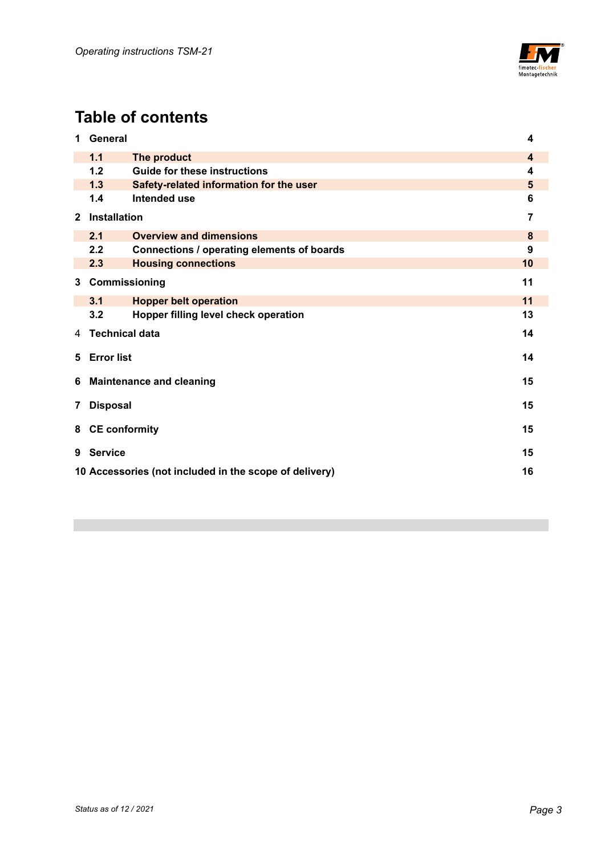

# **Table of contents**

| 1                  | <b>General</b>                                               |                                            | 4  |
|--------------------|--------------------------------------------------------------|--------------------------------------------|----|
|                    | 1.1<br>The product                                           |                                            |    |
|                    | 1.2<br><b>Guide for these instructions</b>                   |                                            | 4  |
|                    | 1.3                                                          | Safety-related information for the user    | 5  |
|                    | 1.4                                                          | Intended use                               | 6  |
| $\mathbf{2}$       | Installation                                                 |                                            | 7  |
|                    | 2.1                                                          | <b>Overview and dimensions</b>             | 8  |
|                    | 2.2                                                          | Connections / operating elements of boards | 9  |
|                    | 2.3                                                          | <b>Housing connections</b>                 | 10 |
| Commissioning<br>3 |                                                              | 11                                         |    |
|                    | 3.1                                                          | <b>Hopper belt operation</b>               | 11 |
|                    | 3.2                                                          | Hopper filling level check operation       | 13 |
| 4                  | <b>Technical data</b>                                        |                                            | 14 |
| 5                  | <b>Error list</b><br>14                                      |                                            |    |
| 6                  | 15<br><b>Maintenance and cleaning</b>                        |                                            |    |
| 7                  | <b>Disposal</b><br>15                                        |                                            |    |
| 8                  | <b>CE conformity</b>                                         |                                            | 15 |
| 9                  | <b>Service</b><br>15                                         |                                            |    |
|                    | 10 Accessories (not included in the scope of delivery)<br>16 |                                            |    |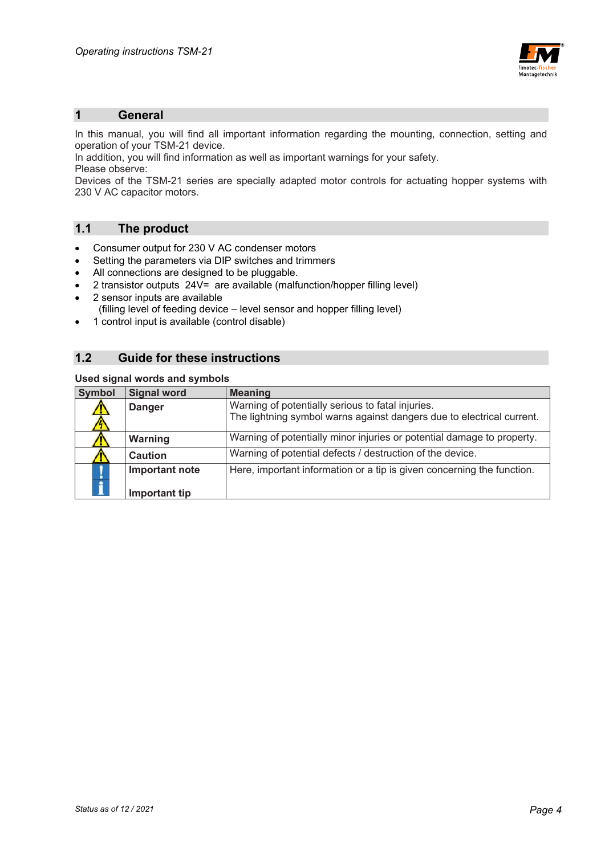

### **1 General**

In this manual, you will find all important information regarding the mounting, connection, setting and operation of your TSM-21 device.

In addition, you will find information as well as important warnings for your safety. Please observe:

Devices of the TSM-21 series are specially adapted motor controls for actuating hopper systems with 230 V AC capacitor motors.

## **1.1 The product**

- Consumer output for 230 V AC condenser motors
- Setting the parameters via DIP switches and trimmers
- All connections are designed to be pluggable.
- 2 transistor outputs  $24V =$  are available (malfunction/hopper filling level)
- 2 sensor inputs are available
	- (filling level of feeding device level sensor and hopper filling level)
- 1 control input is available (control disable)

# **1.2 Guide for these instructions**

#### **Used signal words and symbols**

| Symbol        | <b>Signal word</b> | <b>Meaning</b>                                                         |  |
|---------------|--------------------|------------------------------------------------------------------------|--|
| 71)           | <b>Danger</b>      | Warning of potentially serious to fatal injuries.                      |  |
|               |                    | The lightning symbol warns against dangers due to electrical current.  |  |
|               | Warning            | Warning of potentially minor injuries or potential damage to property. |  |
|               | <b>Caution</b>     | Warning of potential defects / destruction of the device.              |  |
| $\frac{1}{1}$ | Important note     | Here, important information or a tip is given concerning the function. |  |
|               | Important tip      |                                                                        |  |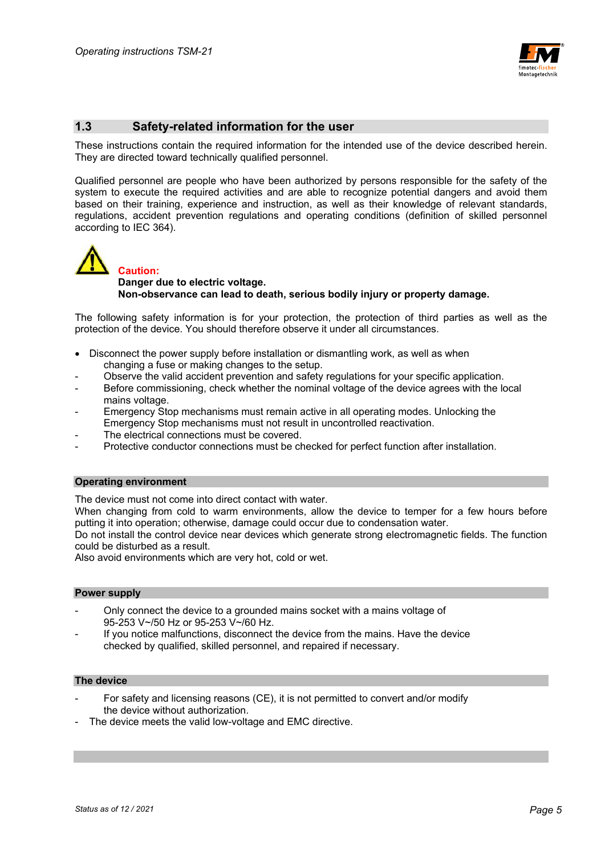

# **1.3 Safety-related information for the user**

These instructions contain the required information for the intended use of the device described herein. They are directed toward technically qualified personnel.

Qualified personnel are people who have been authorized by persons responsible for the safety of the system to execute the required activities and are able to recognize potential dangers and avoid them based on their training, experience and instruction, as well as their knowledge of relevant standards, regulations, accident prevention regulations and operating conditions (definition of skilled personnel according to IEC 364).



## **Danger due to electric voltage. Non-observance can lead to death, serious bodily injury or property damage.**

The following safety information is for your protection, the protection of third parties as well as the protection of the device. You should therefore observe it under all circumstances.

- Disconnect the power supply before installation or dismantling work, as well as when changing a fuse or making changes to the setup.
- Observe the valid accident prevention and safety regulations for your specific application.
- Before commissioning, check whether the nominal voltage of the device agrees with the local mains voltage.
- Emergency Stop mechanisms must remain active in all operating modes. Unlocking the Emergency Stop mechanisms must not result in uncontrolled reactivation.
- The electrical connections must be covered.
- Protective conductor connections must be checked for perfect function after installation.

#### **Operating environment**

The device must not come into direct contact with water.

When changing from cold to warm environments, allow the device to temper for a few hours before putting it into operation; otherwise, damage could occur due to condensation water.

Do not install the control device near devices which generate strong electromagnetic fields. The function could be disturbed as a result.

Also avoid environments which are very hot, cold or wet.

#### **Power supply**

- Only connect the device to a grounded mains socket with a mains voltage of 95-253 V~/50 Hz or 95-253 V~/60 Hz.
- If you notice malfunctions, disconnect the device from the mains. Have the device checked by qualified, skilled personnel, and repaired if necessary.

#### **The device**

- For safety and licensing reasons (CE), it is not permitted to convert and/or modify the device without authorization.
- The device meets the valid low-voltage and EMC directive.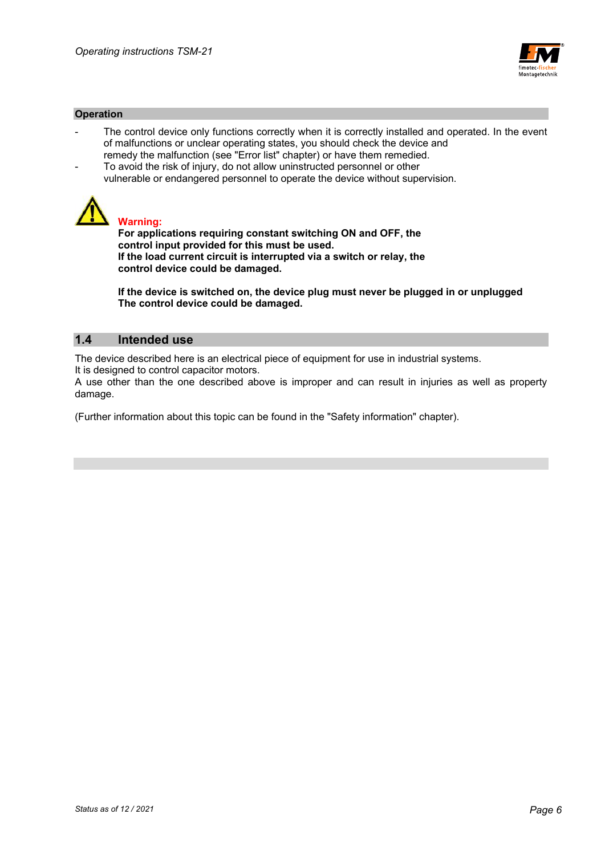

#### **Operation**

- The control device only functions correctly when it is correctly installed and operated. In the event of malfunctions or unclear operating states, you should check the device and remedy the malfunction (see "Error list" chapter) or have them remedied.
- To avoid the risk of injury, do not allow uninstructed personnel or other vulnerable or endangered personnel to operate the device without supervision.



# **Warning:**

 **For applications requiring constant switching ON and OFF, the control input provided for this must be used. If the load current circuit is interrupted via a switch or relay, the control device could be damaged.** 

 **If the device is switched on, the device plug must never be plugged in or unplugged The control device could be damaged.** 

## **1.4 Intended use**

The device described here is an electrical piece of equipment for use in industrial systems.

It is designed to control capacitor motors.

A use other than the one described above is improper and can result in injuries as well as property damage.

(Further information about this topic can be found in the "Safety information" chapter).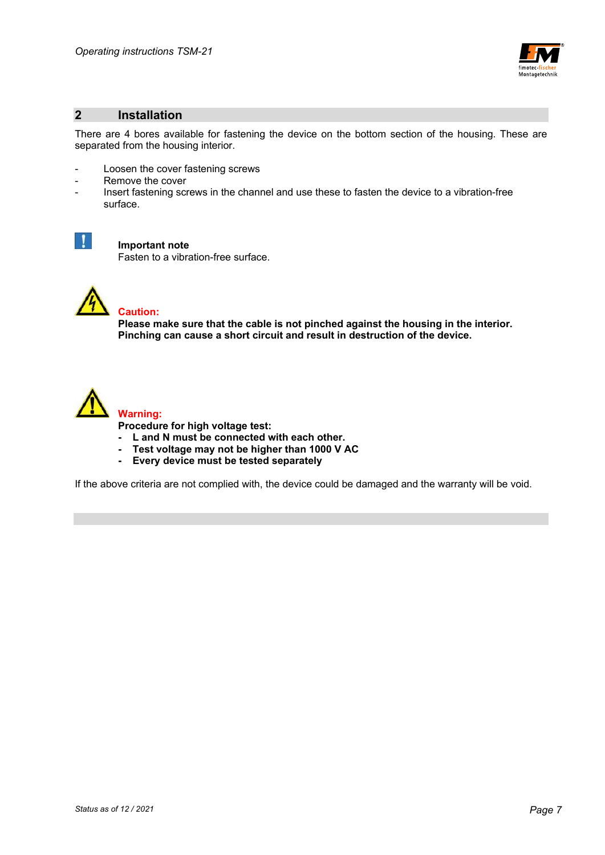

## **2 Installation**

There are 4 bores available for fastening the device on the bottom section of the housing. These are separated from the housing interior.

- Loosen the cover fastening screws
- Remove the cover
- Insert fastening screws in the channel and use these to fasten the device to a vibration-free surface.



#### **Important note**

Fasten to a vibration-free surface.



# **Caution:**

 **Please make sure that the cable is not pinched against the housing in the interior. Pinching can cause a short circuit and result in destruction of the device.** 



 **Procedure for high voltage test:** 

- **L and N must be connected with each other.**
- **Test voltage may not be higher than 1000 V AC**
- **Every device must be tested separately**

If the above criteria are not complied with, the device could be damaged and the warranty will be void.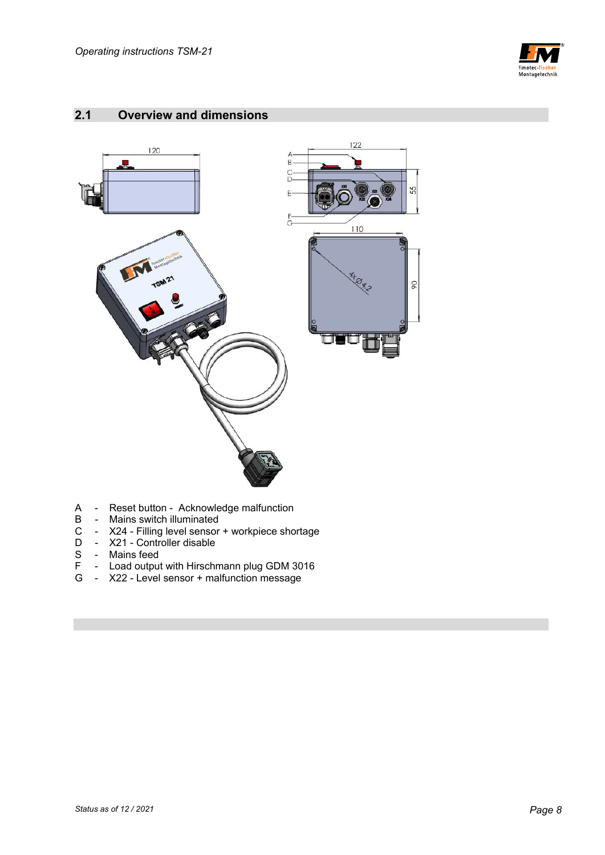

# **2.1 Overview and dimensions**



- A Reset button Acknowledge malfunction<br>B Mains switch illuminated
- B Mains switch illuminated<br>C X24 Filling level sensor<br>D X21 Controller disable
- C X24 Filling level sensor + workpiece shortage
- D X21 Controller disable
- S Mains feed<br>F Load outpu
- F Load output with Hirschmann plug GDM 3016
- G X22 Level sensor + malfunction message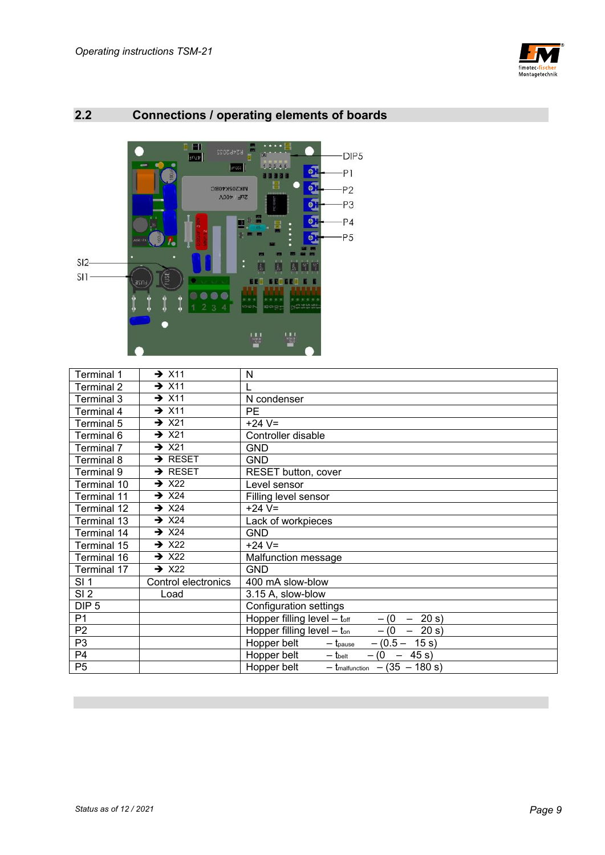



# **2.2 Connections / operating elements of boards**

| Terminal 1       | $\rightarrow$ X11   | N                                                              |
|------------------|---------------------|----------------------------------------------------------------|
| Terminal 2       | $\rightarrow$ X11   |                                                                |
| Terminal 3       | $\rightarrow$ X11   | N condenser                                                    |
| Terminal 4       | $\rightarrow$ X11   | <b>PE</b>                                                      |
| Terminal 5       | $\rightarrow$ X21   | $+24$ V=                                                       |
| Terminal 6       | $\rightarrow$ X21   | Controller disable                                             |
| Terminal 7       | $\rightarrow$ X21   | <b>GND</b>                                                     |
| Terminal 8       | $\rightarrow$ RESET | <b>GND</b>                                                     |
| Terminal 9       | $\rightarrow$ RESET | RESET button, cover                                            |
| Terminal 10      | $\rightarrow$ X22   | Level sensor                                                   |
| Terminal 11      | $\rightarrow$ X24   | Filling level sensor                                           |
| Terminal 12      | $\rightarrow$ X24   | $+24$ V=                                                       |
| Terminal 13      | $\rightarrow$ X24   | Lack of workpieces                                             |
| Terminal 14      | $\rightarrow$ X24   | <b>GND</b>                                                     |
| Terminal 15      | $\rightarrow$ X22   | $+24$ V=                                                       |
| Terminal 16      | $\rightarrow$ X22   | Malfunction message                                            |
| Terminal 17      | $\rightarrow$ X22   | <b>GND</b>                                                     |
| SI <sub>1</sub>  | Control electronics | 400 mA slow-blow                                               |
| SI <sub>2</sub>  | Load                | 3.15 A, slow-blow                                              |
| DIP <sub>5</sub> |                     | Configuration settings                                         |
| P <sub>1</sub>   |                     | Hopper filling level $-$ toff<br>20 s)<br>$-$ (0)<br>$\sim$    |
| P <sub>2</sub>   |                     | Hopper filling level $-$ ton<br>20 s)<br>$-$ (0)<br>$\sim$     |
| P <sub>3</sub>   |                     | Hopper belt<br>$-$ (0.5 $-$<br>15 s)<br>$-$ t <sub>pause</sub> |
| P <sub>4</sub>   |                     | Hopper belt<br>$-(0 - 45 s)$<br>$-$ thelt                      |
| P <sub>5</sub>   |                     | Hopper belt<br>$-$ t <sub>malfunction</sub><br>$-(35 - 180 s)$ |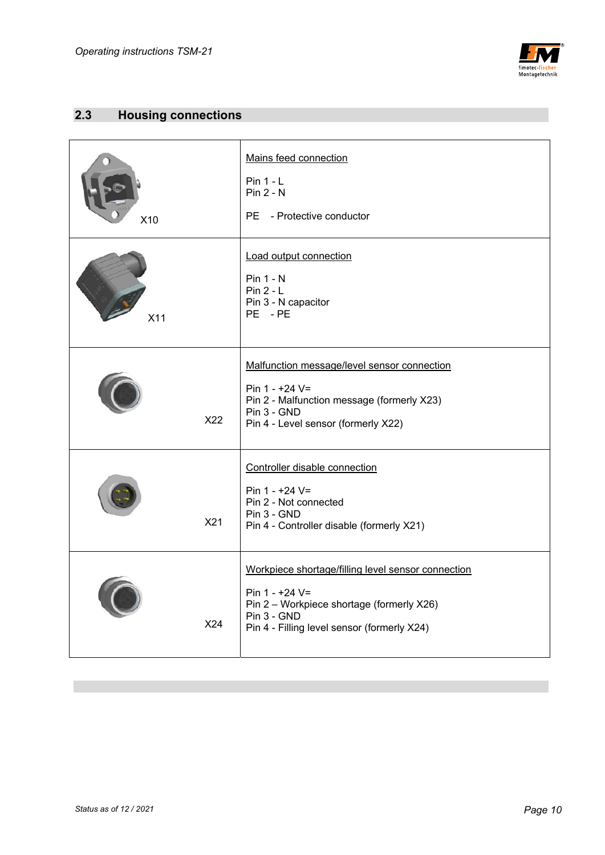

# **2.3 Housing connections**

| X10 | Mains feed connection<br>$Pin 1 - L$<br>$Pin 2 - N$<br>PE - Protective conductor                                                                                                  |
|-----|-----------------------------------------------------------------------------------------------------------------------------------------------------------------------------------|
| X11 | Load output connection<br><b>Pin 1 - N</b><br>$Pin 2 - L$<br>Pin 3 - N capacitor<br>PE - PE                                                                                       |
| X22 | Malfunction message/level sensor connection<br>Pin $1 - +24$ V=<br>Pin 2 - Malfunction message (formerly X23)<br>$Pin 3 - GND$<br>Pin 4 - Level sensor (formerly X22)             |
| X21 | Controller disable connection<br>Pin $1 - +24$ V=<br>Pin 2 - Not connected<br>Pin 3 - GND<br>Pin 4 - Controller disable (formerly X21)                                            |
| X24 | Workpiece shortage/filling level sensor connection<br>Pin $1 - +24$ V=<br>Pin 2 - Workpiece shortage (formerly X26)<br>Pin 3 - GND<br>Pin 4 - Filling level sensor (formerly X24) |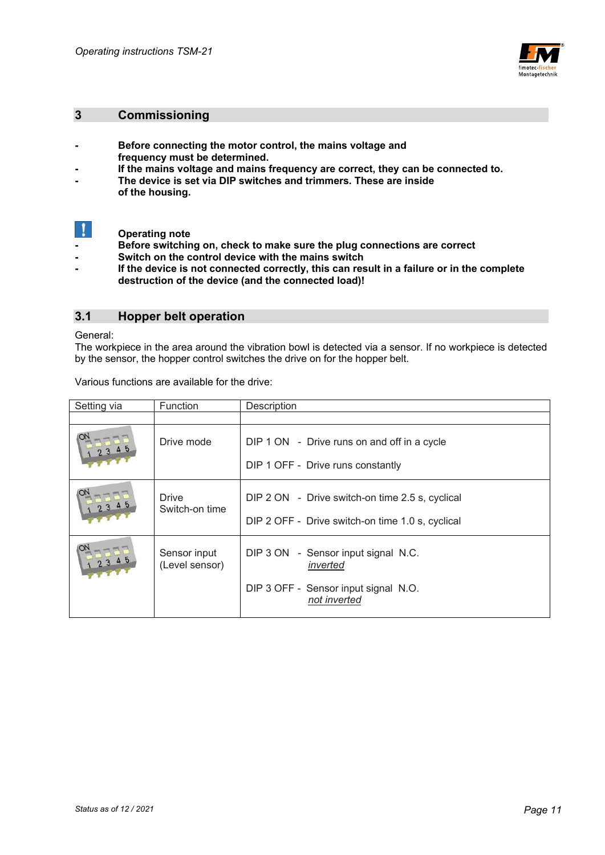

## **3 Commissioning**

- **Before connecting the motor control, the mains voltage and frequency must be determined.**
- **If the mains voltage and mains frequency are correct, they can be connected to.**
- **The device is set via DIP switches and trimmers. These are inside of the housing.**



 **Operating note** 

- **Before switching on, check to make sure the plug connections are correct**
- **Switch on the control device with the mains switch**
- If the device is not connected correctly, this can result in a failure or in the complete  **destruction of the device (and the connected load)!**

## **3.1 Hopper belt operation**

General:

The workpiece in the area around the vibration bowl is detected via a sensor. If no workpiece is detected by the sensor, the hopper control switches the drive on for the hopper belt.

Various functions are available for the drive:

| Setting via | Function                       | Description                                                                                         |  |
|-------------|--------------------------------|-----------------------------------------------------------------------------------------------------|--|
|             |                                |                                                                                                     |  |
|             | Drive mode                     | DIP 1 ON - Drive runs on and off in a cycle<br>DIP 1 OFF - Drive runs constantly                    |  |
|             | Drive<br>Switch-on time        | DIP 2 ON - Drive switch-on time 2.5 s, cyclical<br>DIP 2 OFF - Drive switch-on time 1.0 s, cyclical |  |
|             | Sensor input<br>(Level sensor) | DIP 3 ON - Sensor input signal N.C.<br>inverted                                                     |  |
|             |                                | DIP 3 OFF - Sensor input signal N.O.<br>not inverted                                                |  |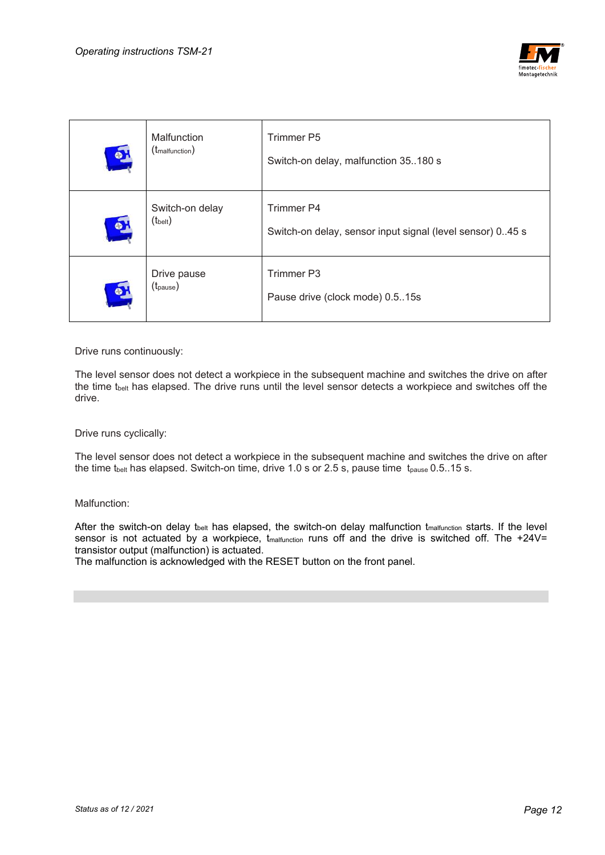

| $\bullet$ | Malfunction<br>$(t_{\text{malfunction}})$ | <b>Trimmer P5</b><br>Switch-on delay, malfunction 35180 s                |
|-----------|-------------------------------------------|--------------------------------------------------------------------------|
| $\bullet$ | Switch-on delay<br>$(t_{\text{belt}})$    | Trimmer P4<br>Switch-on delay, sensor input signal (level sensor) 0.45 s |
| $\bullet$ | Drive pause<br>(t <sub>pause</sub> )      | Trimmer P3<br>Pause drive (clock mode) 0.515s                            |

Drive runs continuously:

The level sensor does not detect a workpiece in the subsequent machine and switches the drive on after the time tbelt has elapsed. The drive runs until the level sensor detects a workpiece and switches off the drive.

Drive runs cyclically:

The level sensor does not detect a workpiece in the subsequent machine and switches the drive on after the time t<sub>belt</sub> has elapsed. Switch-on time, drive 1.0 s or 2.5 s, pause time  $t_{\text{pause}}$  0.5..15 s.

Malfunction:

After the switch-on delay t<sub>belt</sub> has elapsed, the switch-on delay malfunction t<sub>malfunction</sub> starts. If the level sensor is not actuated by a workpiece,  $t_{malfunction}$  runs off and the drive is switched off. The +24V= transistor output (malfunction) is actuated.

The malfunction is acknowledged with the RESET button on the front panel.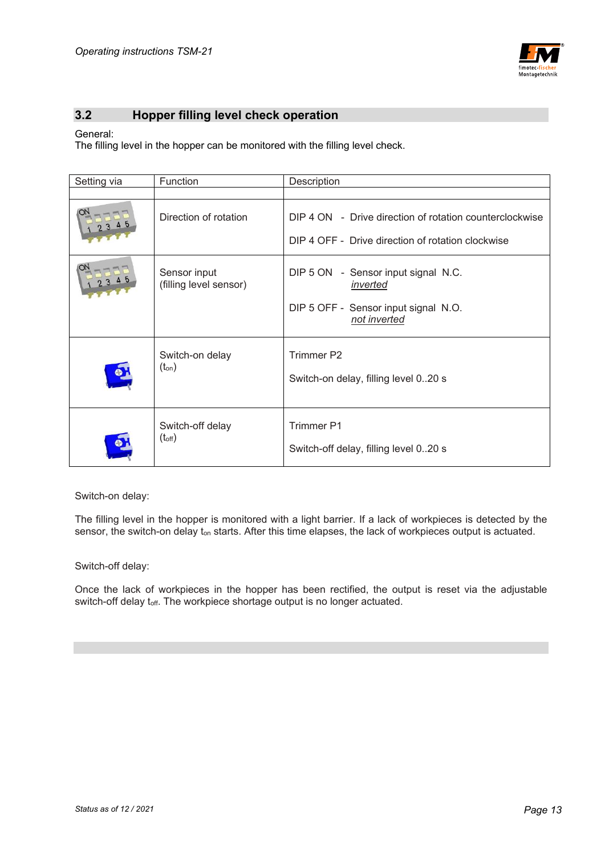

# **3.2 Hopper filling level check operation**

#### General:

The filling level in the hopper can be monitored with the filling level check.

| Setting via | Function                               | Description                                                                                                  |  |
|-------------|----------------------------------------|--------------------------------------------------------------------------------------------------------------|--|
|             |                                        |                                                                                                              |  |
|             | Direction of rotation                  | DIP 4 ON - Drive direction of rotation counterclockwise<br>DIP 4 OFF - Drive direction of rotation clockwise |  |
|             | Sensor input<br>(filling level sensor) | DIP 5 ON - Sensor input signal N.C.<br>inverted<br>DIP 5 OFF - Sensor input signal N.O.<br>not inverted      |  |
|             | Switch-on delay<br>$(t_{on})$          | Trimmer P2<br>Switch-on delay, filling level 020 s                                                           |  |
|             | Switch-off delay<br>$(t_{off})$        | <b>Trimmer P1</b><br>Switch-off delay, filling level 020 s                                                   |  |

Switch-on delay:

The filling level in the hopper is monitored with a light barrier. If a lack of workpieces is detected by the sensor, the switch-on delay t<sub>on</sub> starts. After this time elapses, the lack of workpieces output is actuated.

Switch-off delay:

Once the lack of workpieces in the hopper has been rectified, the output is reset via the adjustable switch-off delay toff. The workpiece shortage output is no longer actuated.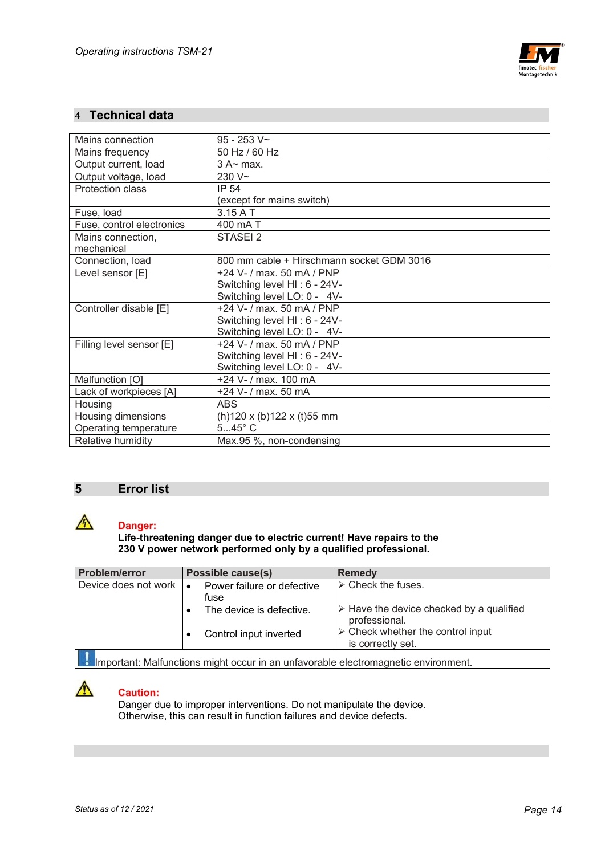

# 4 **Technical data**

| Mains connection          | $95 - 253$ V~                             |
|---------------------------|-------------------------------------------|
| Mains frequency           | 50 Hz / 60 Hz                             |
| Output current, load      | $3$ A $\sim$ max.                         |
| Output voltage, load      | $230V -$                                  |
| Protection class          | IP 54                                     |
|                           | (except for mains switch)                 |
| Fuse, load                | $3.15A$ T                                 |
| Fuse, control electronics | 400 mA T                                  |
| Mains connection,         | STASEI <sub>2</sub>                       |
| mechanical                |                                           |
| Connection, load          | 800 mm cable + Hirschmann socket GDM 3016 |
| Level sensor [E]          | +24 V- / max. 50 mA / PNP                 |
|                           | Switching level HI: 6 - 24V-              |
|                           | Switching level LO: 0 - 4V-               |
| Controller disable [E]    | +24 V- / max, 50 mA / PNP                 |
|                           | Switching level HI: 6 - 24V-              |
|                           | Switching level LO: 0 - 4V-               |
| Filling level sensor [E]  | +24 V- / max, 50 mA / PNP                 |
|                           | Switching level HI: 6 - 24V-              |
|                           | Switching level LO: 0 - 4V-               |
| Malfunction [O]           | +24 V- / max. 100 mA                      |
| Lack of workpieces [A]    | +24 V- / max. 50 mA                       |
| Housing                   | <b>ABS</b>                                |
| Housing dimensions        | $(h)$ 120 x (b)122 x (t)55 mm             |
| Operating temperature     | $545^\circ$ C                             |
| Relative humidity         | Max.95 %, non-condensing                  |

## **5 Error list**



# **Danger:**

 **Life-threatening danger due to electric current! Have repairs to the 230 V power network performed only by a qualified professional.** 

| <b>Problem/error</b>                                       | Possible cause(s)        | <b>Remedy</b>                                                            |  |
|------------------------------------------------------------|--------------------------|--------------------------------------------------------------------------|--|
| Device does not work<br>Power failure or defective<br>fuse |                          | $\triangleright$ Check the fuses.                                        |  |
|                                                            | The device is defective. | $\triangleright$ Have the device checked by a qualified<br>professional. |  |
|                                                            | Control input inverted   | $\triangleright$ Check whether the control input<br>is correctly set.    |  |
|                                                            | .                        |                                                                          |  |

**IM** Important: Malfunctions might occur in an unfavorable electromagnetic environment.



# **Caution:**

 Danger due to improper interventions. Do not manipulate the device. Otherwise, this can result in function failures and device defects.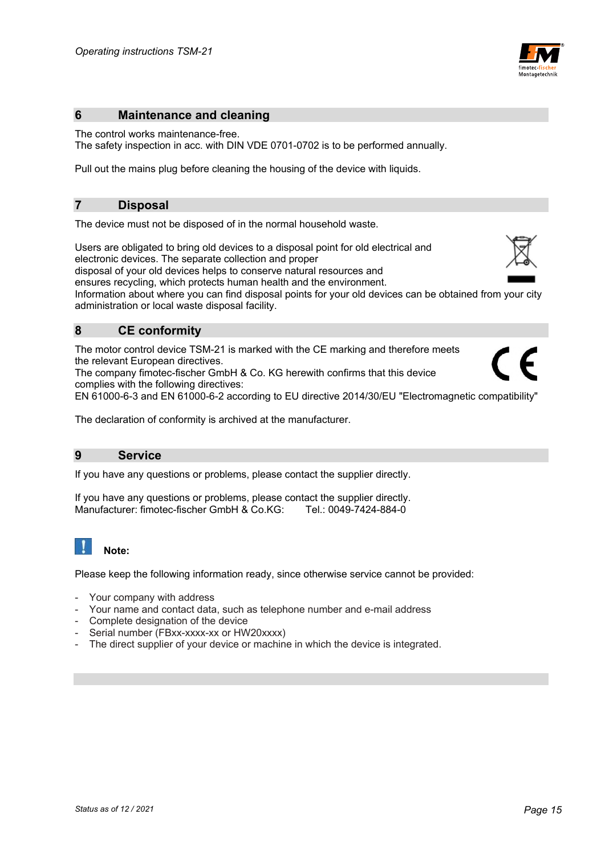

## **6 Maintenance and cleaning**

The control works maintenance-free. The safety inspection in acc. with DIN VDE 0701-0702 is to be performed annually.

Pull out the mains plug before cleaning the housing of the device with liquids.

#### **7 Disposal**

The device must not be disposed of in the normal household waste.

Users are obligated to bring old devices to a disposal point for old electrical and electronic devices. The separate collection and proper

disposal of your old devices helps to conserve natural resources and

ensures recycling, which protects human health and the environment.

Information about where you can find disposal points for your old devices can be obtained from your city administration or local waste disposal facility.

# **8 CE conformity**

The motor control device TSM-21 is marked with the CE marking and therefore meets the relevant European directives.

The company fimotec-fischer GmbH & Co. KG herewith confirms that this device complies with the following directives:

EN 61000-6-3 and EN 61000-6-2 according to EU directive 2014/30/EU "Electromagnetic compatibility"

The declaration of conformity is archived at the manufacturer.

### **9 Service**

If you have any questions or problems, please contact the supplier directly.

If you have any questions or problems, please contact the supplier directly. Manufacturer: fimotec-fischer GmbH & Co.KG: Tel.: 0049-7424-884-0

# **Note:**

Please keep the following information ready, since otherwise service cannot be provided:

- Your company with address
- Your name and contact data, such as telephone number and e-mail address
- Complete designation of the device
- Serial number (FBxx-xxxx-xx or HW20xxxx)
- The direct supplier of your device or machine in which the device is integrated.